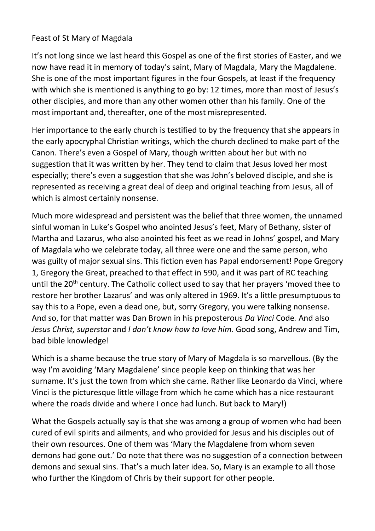## Feast of St Mary of Magdala

It's not long since we last heard this Gospel as one of the first stories of Easter, and we now have read it in memory of today's saint, Mary of Magdala, Mary the Magdalene. She is one of the most important figures in the four Gospels, at least if the frequency with which she is mentioned is anything to go by: 12 times, more than most of Jesus's other disciples, and more than any other women other than his family. One of the most important and, thereafter, one of the most misrepresented.

Her importance to the early church is testified to by the frequency that she appears in the early apocryphal Christian writings, which the church declined to make part of the Canon. There's even a Gospel of Mary, though written about her but with no suggestion that it was written by her. They tend to claim that Jesus loved her most especially; there's even a suggestion that she was John's beloved disciple, and she is represented as receiving a great deal of deep and original teaching from Jesus, all of which is almost certainly nonsense.

Much more widespread and persistent was the belief that three women, the unnamed sinful woman in Luke's Gospel who anointed Jesus's feet, Mary of Bethany, sister of Martha and Lazarus, who also anointed his feet as we read in Johns' gospel, and Mary of Magdala who we celebrate today, all three were one and the same person, who was guilty of major sexual sins. This fiction even has Papal endorsement! Pope Gregory 1, Gregory the Great, preached to that effect in 590, and it was part of RC teaching until the 20<sup>th</sup> century. The Catholic collect used to say that her prayers 'moved thee to restore her brother Lazarus' and was only altered in 1969. It's a little presumptuous to say this to a Pope, even a dead one, but, sorry Gregory, you were talking nonsense. And so, for that matter was Dan Brown in his preposterous *Da Vinci* Code*.* And also *Jesus Christ, superstar* and *I don't know how to love him*. Good song, Andrew and Tim, bad bible knowledge!

Which is a shame because the true story of Mary of Magdala is so marvellous. (By the way I'm avoiding 'Mary Magdalene' since people keep on thinking that was her surname. It's just the town from which she came. Rather like Leonardo da Vinci, where Vinci is the picturesque little village from which he came which has a nice restaurant where the roads divide and where I once had lunch. But back to Mary!)

What the Gospels actually say is that she was among a group of women who had been cured of evil spirits and ailments, and who provided for Jesus and his disciples out of their own resources. One of them was 'Mary the Magdalene from whom seven demons had gone out.' Do note that there was no suggestion of a connection between demons and sexual sins. That's a much later idea. So, Mary is an example to all those who further the Kingdom of Chris by their support for other people.